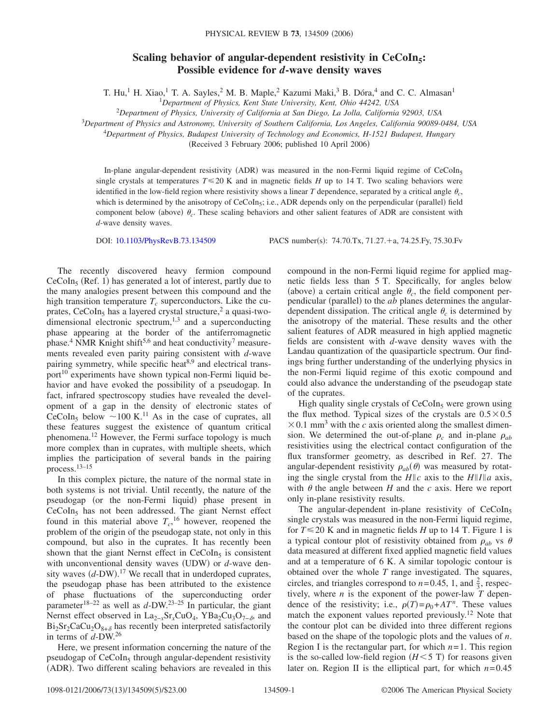## **Scaling behavior of angular-dependent resistivity in CeCoIn<sub>5</sub>: Possible evidence for** *d***-wave density waves**

T. Hu,<sup>1</sup> H. Xiao,<sup>1</sup> T. A. Sayles,<sup>2</sup> M. B. Maple,<sup>2</sup> Kazumi Maki,<sup>3</sup> B. Dóra,<sup>4</sup> and C. C. Almasan<sup>1</sup>

<sup>1</sup>*Department of Physics, Kent State University, Kent, Ohio 44242, USA*

2 *Department of Physics, University of California at San Diego, La Jolla, California 92903, USA*

<sup>3</sup>*Department of Physics and Astronomy, University of Southern California, Los Angeles, California 90089-0484, USA*

<sup>4</sup>*Department of Physics, Budapest University of Technology and Economics, H-1521 Budapest, Hungary*

(Received 3 February 2006; published 10 April 2006)

In-plane angular-dependent resistivity (ADR) was measured in the non-Fermi liquid regime of CeCoIn<sub>5</sub> single crystals at temperatures  $T \le 20$  K and in magnetic fields *H* up to 14 T. Two scaling behaviors were identified in the low-field region where resistivity shows a linear *T* dependence, separated by a critical angle  $\theta_c$ , which is determined by the anisotropy of CeCoIn<sub>5</sub>; i.e., ADR depends only on the perpendicular (parallel) field component below (above)  $\theta_c$ . These scaling behaviors and other salient features of ADR are consistent with *d*-wave density waves.

DOI: [10.1103/PhysRevB.73.134509](http://dx.doi.org/10.1103/PhysRevB.73.134509)

PACS number(s): 74.70.Tx, 71.27.+a, 74.25.Fy, 75.30.Fv

The recently discovered heavy fermion compound  $CeCoIn<sub>5</sub>$  (Ref. 1) has generated a lot of interest, partly due to the many analogies present between this compound and the high transition temperature  $T_c$  superconductors. Like the cuprates,  $CeCoIn<sub>5</sub>$  has a layered crystal structure,<sup>2</sup> a quasi-twodimensional electronic spectrum, $1,3$  and a superconducting phase appearing at the border of the antiferromagnetic phase.<sup>4</sup> NMR Knight shift<sup>5,6</sup> and heat conductivity<sup>7</sup> measurements revealed even parity pairing consistent with *d*-wave pairing symmetry, while specific heat<sup>8,9</sup> and electrical transport $10$  experiments have shown typical non-Fermi liquid behavior and have evoked the possibility of a pseudogap. In fact, infrared spectroscopy studies have revealed the development of a gap in the density of electronic states of CeCoIn<sub>5</sub> below  $\sim$  100 K.<sup>11</sup> As in the case of cuprates, all these features suggest the existence of quantum critical phenomena.12 However, the Fermi surface topology is much more complex than in cuprates, with multiple sheets, which implies the participation of several bands in the pairing process.13–15

In this complex picture, the nature of the normal state in both systems is not trivial. Until recently, the nature of the pseudogap (or the non-Fermi liquid) phase present in  $CeCoIn<sub>5</sub>$  has not been addressed. The giant Nernst effect found in this material above  $T_c$ ,<sup>16</sup> however, reopened the problem of the origin of the pseudogap state, not only in this compound, but also in the cuprates. It has recently been shown that the giant Nernst effect in  $CeCoIn<sub>5</sub>$  is consistent with unconventional density waves (UDW) or *d*-wave density waves  $(d-DW)$ .<sup>17</sup> We recall that in underdoped cuprates, the pseudogap phase has been attributed to the existence of phase fluctuations of the superconducting order parameter<sup>18–22</sup> as well as  $d$ -DW.<sup>23–25</sup> In particular, the giant Nernst effect observed in La<sub>2−*x*</sub>Sr<sub>*x*</sub>CuO<sub>4</sub>, YBa<sub>2</sub>Cu<sub>3</sub>O<sub>7−</sub><sup> $\delta$ </sup>, and  $Bi_2Sr_2CaCu_2O_{8+\delta}$  has recently been interpreted satisfactorily in terms of *d*-DW.26

Here, we present information concerning the nature of the pseudogap of  $CeCoIn<sub>5</sub>$  through angular-dependent resistivity (ADR). Two different scaling behaviors are revealed in this

compound in the non-Fermi liquid regime for applied magnetic fields less than 5 T. Specifically, for angles below (above) a certain critical angle  $\theta_c$ , the field component perpendicular (parallel) to the *ab* planes determines the angulardependent dissipation. The critical angle  $\theta_c$  is determined by the anisotropy of the material. These results and the other salient features of ADR measured in high applied magnetic fields are consistent with *d*-wave density waves with the Landau quantization of the quasiparticle spectrum. Our findings bring further understanding of the underlying physics in the non-Fermi liquid regime of this exotic compound and could also advance the understanding of the pseudogap state of the cuprates.

High quality single crystals of  $CeCoIn<sub>5</sub>$  were grown using the flux method. Typical sizes of the crystals are  $0.5 \times 0.5$  $\times$  0.1 mm<sup>3</sup> with the *c* axis oriented along the smallest dimension. We determined the out-of-plane  $\rho_c$  and in-plane  $\rho_{ab}$ resistivities using the electrical contact configuration of the flux transformer geometry, as described in Ref. 27. The angular-dependent resistivity  $\rho_{ab}(\theta)$  was measured by rotating the single crystal from the  $H||c$  axis to the  $H||I||a$  axis, with  $\theta$  the angle between  $H$  and the  $c$  axis. Here we report only in-plane resistivity results.

The angular-dependent in-plane resistivity of  $CeCoIn<sub>5</sub>$ single crystals was measured in the non-Fermi liquid regime, for  $T \le 20$  K and in magnetic fields *H* up to 14 T. Figure 1 is a typical contour plot of resistivity obtained from  $\rho_{ab}$  vs  $\theta$ data measured at different fixed applied magnetic field values and at a temperature of 6 K. A similar topologic contour is obtained over the whole *T* range investigated. The squares, circles, and triangles correspond to  $n=0.45$ , 1, and  $\frac{2}{3}$ , respectively, where  $n$  is the exponent of the power-law  $T$  dependence of the resistivity; i.e.,  $\rho(T) = \rho_0 + AT^n$ . These values match the exponent values reported previously.<sup>12</sup> Note that the contour plot can be divided into three different regions based on the shape of the topologic plots and the values of *n*. Region I is the rectangular part, for which *n*=1. This region is the so-called low-field region  $(H<5 T)$  for reasons given later on. Region II is the elliptical part, for which  $n=0.45$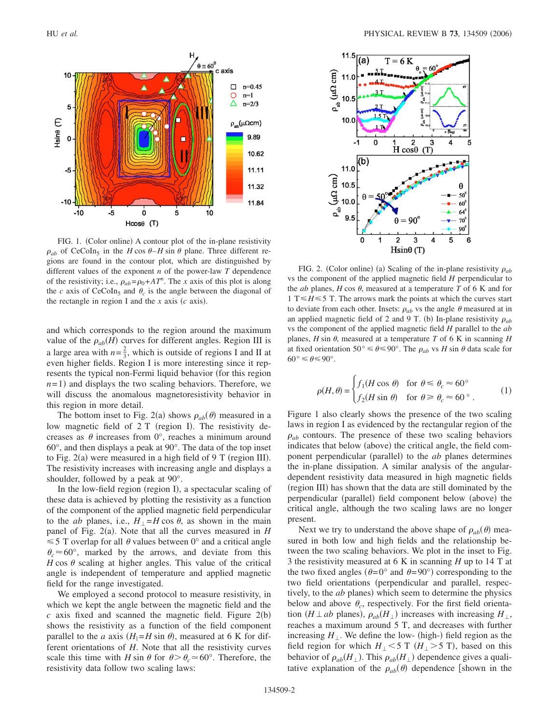

FIG. 1. (Color online) A contour plot of the in-plane resistivity  $\rho_{ab}$  of CeCoIn<sub>5</sub> in the *H* cos  $\theta$ -*H* sin  $\theta$  plane. Three different regions are found in the contour plot, which are distinguished by different values of the exponent *n* of the power-law *T* dependence of the resistivity; i.e.,  $\rho_{ab} = \rho_0 + A T^n$ . The *x* axis of this plot is along the *c* axis of CeCoIn<sub>5</sub> and  $\theta_c$  is the angle between the diagonal of the rectangle in region I and the  $x$  axis  $(c \text{ axis})$ .

and which corresponds to the region around the maximum value of the  $\rho_{ab}(H)$  curves for different angles. Region III is a large area with  $n = \frac{2}{3}$ , which is outside of regions I and II at even higher fields. Region I is more interesting since it represents the typical non-Fermi liquid behavior (for this region  $n=1$ ) and displays the two scaling behaviors. Therefore, we will discuss the anomalous magnetoresistivity behavior in this region in more detail.

The bottom inset to Fig. 2(a) shows  $\rho_{ab}(\theta)$  measured in a low magnetic field of 2 T (region I). The resistivity decreases as  $\theta$  increases from 0°, reaches a minimum around 60°, and then displays a peak at 90°. The data of the top inset to Fig.  $2(a)$  were measured in a high field of 9 T (region III). The resistivity increases with increasing angle and displays a shoulder, followed by a peak at 90°.

In the low-field region (region I), a spectacular scaling of these data is achieved by plotting the resistivity as a function of the component of the applied magnetic field perpendicular to the *ab* planes, i.e.,  $H_{\perp} = H \cos \theta$ , as shown in the main panel of Fig. 2(a). Note that all the curves measured in *H*  $\leq 5$  T overlap for all  $\theta$  values between 0° and a critical angle  $\theta_c \approx 60^\circ$ , marked by the arrows, and deviate from this  $H \cos \theta$  scaling at higher angles. This value of the critical angle is independent of temperature and applied magnetic field for the range investigated.

We employed a second protocol to measure resistivity, in which we kept the angle between the magnetic field and the  $c$  axis fixed and scanned the magnetic field. Figure  $2(b)$ shows the resistivity as a function of the field component parallel to the *a* axis  $(H_{\parallel} = H \sin \theta)$ , measured at 6 K for different orientations of *H*. Note that all the resistivity curves scale this time with *H* sin  $\theta$  for  $\theta > \theta_c \approx 60^\circ$ . Therefore, the resistivity data follow two scaling laws:



FIG. 2. (Color online) (a) Scaling of the in-plane resistivity  $\rho_{ab}$ vs the component of the applied magnetic field *H* perpendicular to the *ab* planes,  $H \cos \theta$ , measured at a temperature  $T \text{ of } 6$  K and for 1 T  $\leq H \leq 5$  T. The arrows mark the points at which the curves start to deviate from each other. Insets:  $\rho_{ab}$  vs the angle  $\theta$  measured at in an applied magnetic field of 2 and 9 T. (b) In-plane resistivity  $\rho_{ab}$ vs the component of the applied magnetic field *H* parallel to the *ab* planes,  $H \sin \theta$ , measured at a temperature  $T$  of 6 K in scanning  $H$ at fixed orientation 50°  $\leq \theta \leq 90$ °. The  $\rho_{ab}$  vs *H* sin  $\theta$  data scale for  $60^{\circ} \leq \theta \leq 90^{\circ}.$ 

$$
\rho(H,\theta) = \begin{cases} f_1(H\cos\theta) & \text{for } \theta \le \theta_c \approx 60^\circ \\ f_2(H\sin\theta) & \text{for } \theta \ge \theta_c \approx 60^\circ \end{cases} \tag{1}
$$

Figure 1 also clearly shows the presence of the two scaling laws in region I as evidenced by the rectangular region of the  $\rho_{ab}$  contours. The presence of these two scaling behaviors indicates that below (above) the critical angle, the field component perpendicular (parallel) to the *ab* planes determines the in-plane dissipation. A similar analysis of the angulardependent resistivity data measured in high magnetic fields (region III) has shown that the data are still dominated by the perpendicular (parallel) field component below (above) the critical angle, although the two scaling laws are no longer present.

Next we try to understand the above shape of  $\rho_{ab}(\theta)$  measured in both low and high fields and the relationship between the two scaling behaviors. We plot in the inset to Fig. 3 the resistivity measured at 6 K in scanning *H* up to 14 T at the two fixed angles ( $\theta = 0^{\circ}$  and  $\theta = 90^{\circ}$ ) corresponding to the two field orientations (perpendicular and parallel, respectively, to the *ab* planes) which seem to determine the physics below and above  $\theta_c$ , respectively. For the first field orientation (*H*  $\perp$  *ab* planes),  $\rho_{ab}(H_{\perp})$  increases with increasing  $H_{\perp}$ , reaches a maximum around 5 T, and decreases with further increasing  $H_{\perp}$ . We define the low- (high-) field region as the field region for which  $H_{\perp}$  < 5 T ( $H_{\perp}$  > 5 T), based on this behavior of  $\rho_{ab}(H_{\perp})$ . This  $\rho_{ab}(H_{\perp})$  dependence gives a qualitative explanation of the  $\rho_{ab}(\theta)$  dependence [shown in the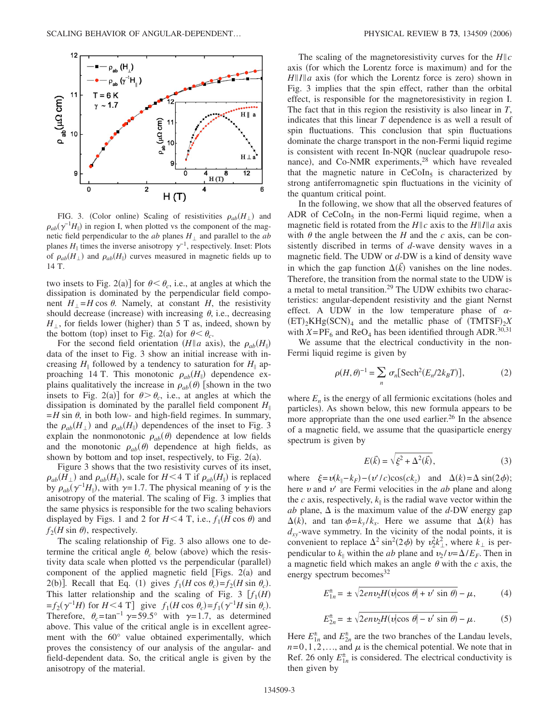

FIG. 3. (Color online) Scaling of resistivities  $\rho_{ab}(H_{\perp})$  and  $\rho_{ab}(\gamma^{-1}H_{\parallel})$  in region I, when plotted vs the component of the magnetic field perpendicular to the  $ab$  planes  $H_{\perp}$  and parallel to the  $ab$ planes  $H_{\parallel}$  times the inverse anisotropy  $\gamma^{-1}$ , respectively. Inset: Plots of  $\rho_{ab}(H_{\perp})$  and  $\rho_{ab}(H_{\parallel})$  curves measured in magnetic fields up to 14 T.

two insets to Fig. 2(a)] for  $\theta < \theta_c$ , i.e., at angles at which the dissipation is dominated by the perpendicular field component  $H_{\perp} = H \cos \theta$ . Namely, at constant *H*, the resistivity should decrease (increase) with increasing  $\theta$ , i.e., decreasing  $H_{\perp}$ , for fields lower (higher) than 5 T as, indeed, shown by the bottom (top) inset to Fig. 2(a) for  $\theta < \theta_c$ .

For the second field orientation (*H*||a axis), the  $\rho_{ab}(H_{\parallel})$ data of the inset to Fig. 3 show an initial increase with increasing  $H_{\parallel}$  followed by a tendency to saturation for  $H_{\parallel}$  approaching 14 T. This monotonic  $\rho_{ab}(H_{\parallel})$  dependence explains qualitatively the increase in  $\rho_{ab}(\theta)$  [shown in the two insets to Fig. 2(a)] for  $\theta > \theta_c$ , i.e., at angles at which the dissipation is dominated by the parallel field component  $H_{\parallel}$  $=$ *H* sin  $\theta$ , in both low- and high-field regimes. In summary, the  $\rho_{ab}(H_{\perp})$  and  $\rho_{ab}(H_{\parallel})$  dependences of the inset to Fig. 3 explain the nonmonotonic  $\rho_{ab}(\theta)$  dependence at low fields and the monotonic  $\rho_{ab}(\theta)$  dependence at high fields, as shown by bottom and top inset, respectively, to Fig.  $2(a)$ .

Figure 3 shows that the two resistivity curves of its inset,  $\rho_{ab}(H_{\perp})$  and  $\rho_{ab}(H_{\parallel})$ , scale for *H* < 4 T if  $\rho_{ab}(H_{\parallel})$  is replaced by  $\rho_{ab}(\gamma^{-1}H_{\parallel})$ , with  $\gamma=1.7$ . The physical meaning of  $\gamma$  is the anisotropy of the material. The scaling of Fig. 3 implies that the same physics is responsible for the two scaling behaviors displayed by Figs. 1 and 2 for  $H < 4$  T, i.e.,  $f_1(H \cos \theta)$  and  $f_2(H \sin \theta)$ , respectively.

The scaling relationship of Fig. 3 also allows one to determine the critical angle  $\theta_c$  below (above) which the resistivity data scale when plotted vs the perpendicular (parallel) component of the applied magnetic field [Figs.  $2(a)$  and 2(b)]. Recall that Eq. (1) gives  $f_1(H\cos\theta_c) = f_2(H\sin\theta_c)$ . This latter relationship and the scaling of Fig. 3  $[f_1(H)]$  $=f_2(\gamma^{-1}H)$  for  $H < 4$  T] give  $f_1(H \cos \theta_c) = f_1(\gamma^{-1}H \sin \theta_c)$ . Therefore,  $\theta_c = \tan^{-1} \gamma = 59.5^\circ$  with  $\gamma = 1.7$ , as determined above. This value of the critical angle is in excellent agreement with the 60° value obtained experimentally, which proves the consistency of our analysis of the angular- and field-dependent data. So, the critical angle is given by the anisotropy of the material.

The scaling of the magnetoresistivity curves for the *Hc* axis (for which the Lorentz force is maximum) and for the  $H||I||a$  axis (for which the Lorentz force is zero) shown in Fig. 3 implies that the spin effect, rather than the orbital effect, is responsible for the magnetoresistivity in region I. The fact that in this region the resistivity is also linear in *T*, indicates that this linear *T* dependence is as well a result of spin fluctuations. This conclusion that spin fluctuations dominate the charge transport in the non-Fermi liquid regime is consistent with recent In-NQR (nuclear quadrupole resonance), and Co-NMR experiments,<sup>28</sup> which have revealed that the magnetic nature in  $CeCoIn<sub>5</sub>$  is characterized by strong antiferromagnetic spin fluctuations in the vicinity of the quantum critical point.

In the following, we show that all the observed features of ADR of  $CeCoIn<sub>5</sub>$  in the non-Fermi liquid regime, when a magnetic field is rotated from the  $H||c$  axis to the  $H||I||a$  axis with  $\theta$  the angle between the *H* and the *c* axis, can be consistently discribed in terms of *d*-wave density waves in a magnetic field. The UDW or *d*-DW is a kind of density wave in which the gap function  $\Delta(\vec{k})$  vanishes on the line nodes. Therefore, the transition from the normal state to the UDW is a metal to metal transition.29 The UDW exhibits two characteristics: angular-dependent resistivity and the giant Nernst effect. A UDW in the low temperature phase of  $\alpha$ - $(ET)_2KHg(SCN)_4$  and the metallic phase of  $(TMTSF)_2X$ with  $X=PF_6$  and ReO<sub>4</sub> has been identified through ADR.<sup>30,31</sup>

We assume that the electrical conductivity in the non-Fermi liquid regime is given by

$$
\rho(H,\theta)^{-1} = \sum_{n} \sigma_n[\text{Sech}^2(E_n/2k_BT)],\tag{2}
$$

where  $E_n$  is the energy of all fermionic excitations (holes and particles). As shown below, this new formula appears to be more appropriate than the one used earlier. $^{26}$  In the absence of a magnetic field, we assume that the quasiparticle energy spectrum is given by

$$
E(\vec{k}) = \sqrt{\xi^2 + \Delta^2(\vec{k})},\tag{3}
$$

where  $\xi = v(k_{\parallel} - k_F) - (v'/c)\cos(ck_z)$  and  $\Delta(k) = \Delta \sin(2\phi)$ ; here  $\nu$  and  $\nu'$  are Fermi velocities in the *ab* plane and along the *c* axis, respectively,  $k_{\parallel}$  is the radial wave vector within the *ab* plane,  $\Delta$  is the maximum value of the *d*-DW energy gap  $\Delta(k)$ , and tan  $\phi = k_y / k_x$ . Here we assume that  $\Delta(k)$  has  $d_{xy}$ -wave symmetry. In the vicinity of the nodal points, it is convenient to replace  $\Delta^2 \sin^2(2\phi)$  by  $v_2^2 k_{\perp}^2$ , where  $k_{\perp}$  is perpendicular to  $k_{\parallel}$  within the *ab* plane and  $v_2/v = \Delta/E_F$ . Then in a magnetic field which makes an angle  $\theta$  with the  $c$  axis, the energy spectrum becomes  $32$ 

$$
E_{1n}^{\pm} = \pm \sqrt{2env_2H(v|\cos\theta| + v'\sin\theta)} - \mu,\tag{4}
$$

$$
E_{2n}^{\pm} = \pm \sqrt{2e n v_2 H(v |\cos \theta| - v' \sin \theta)} - \mu. \tag{5}
$$

Here  $E_{1n}^{\pm}$  and  $E_{2n}^{\pm}$  are the two branches of the Landau levels,  $n=0,1,2,...$ , and  $\mu$  is the chemical potential. We note that in Ref. 26 only  $E_{1n}^{\pm}$  is considered. The electrical conductivity is then given by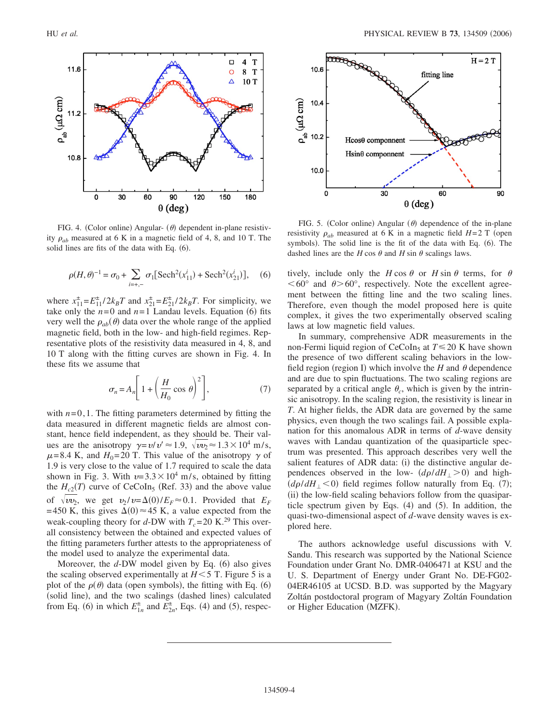

FIG. 4. (Color online) Angular-  $(\theta)$  dependent in-plane resistivity  $\rho_{ab}$  measured at 6 K in a magnetic field of 4, 8, and 10 T. The solid lines are fits of the data with Eq. (6).

$$
\rho(H,\theta)^{-1} = \sigma_0 + \sum_{i=+,-} \sigma_1[{\rm Sech}^2(x_{11}^i) + {\rm Sech}^2(x_{21}^i)], \quad (6)
$$

where  $x_{11}^{\pm} = E_{11}^{\pm}/2k_B T$  and  $x_{21}^{\pm} = E_{21}^{\pm}/2k_B T$ . For simplicity, we take only the  $n=0$  and  $n=1$  Landau levels. Equation (6) fits very well the  $\rho_{ab}(\theta)$  data over the whole range of the applied magnetic field, both in the low- and high-field regimes. Representative plots of the resistivity data measured in 4, 8, and 10 T along with the fitting curves are shown in Fig. 4. In these fits we assume that

$$
\sigma_n = A_n \left[ 1 + \left( \frac{H}{H_0} \cos \theta \right)^2 \right],\tag{7}
$$

with  $n=0,1$ . The fitting parameters determined by fitting the data measured in different magnetic fields are almost constant, hence field independent, as they should be. Their values are the anisotropy  $\gamma = v/v' \approx 1.9$ ,  $\sqrt{v v_2} \approx 1.3 \times 10^4$  m/s,  $\mu$ =8.4 K, and *H*<sub>0</sub>=20 T. This value of the anisotropy  $\gamma$  of 1.9 is very close to the value of 1.7 required to scale the data shown in Fig. 3. With  $v=3.3\times10^4$  m/s, obtained by fitting the  $H_{c2}(T)$  curve of CeCoIn<sub>5</sub> (Ref. 33) and the above value of  $\sqrt{w_2}$ , we get  $v_2/v = \Delta(0)/E_F \approx 0.1$ . Provided that  $E_F$ =450 K, this gives  $\Delta(0) \approx 45$  K, a value expected from the weak-coupling theory for *d*-DW with  $T_c$ =20 K.<sup>29</sup> This overall consistency between the obtained and expected values of the fitting parameters further attests to the appropriateness of the model used to analyze the experimental data.

Moreover, the *d*-DW model given by Eq. (6) also gives the scaling observed experimentally at  $H<5$  T. Figure 5 is a plot of the  $\rho(\theta)$  data (open symbols), the fitting with Eq. (6) (solid line), and the two scalings (dashed lines) calculated from Eq. (6) in which  $E_{1n}^{\pm}$  and  $E_{2n}^{\pm}$ , Eqs. (4) and (5), respec-



FIG. 5. (Color online) Angular  $(\theta)$  dependence of the in-plane resistivity  $\rho_{ab}$  measured at 6 K in a magnetic field *H*=2 T (open symbols). The solid line is the fit of the data with Eq. (6). The dashed lines are the *H* cos  $\theta$  and *H* sin  $\theta$  scalings laws.

tively, include only the  $H \cos \theta$  or  $H \sin \theta$  terms, for  $\theta$  $< 60^{\circ}$  and  $\theta > 60^{\circ}$ , respectively. Note the excellent agreement between the fitting line and the two scaling lines. Therefore, even though the model proposed here is quite complex, it gives the two experimentally observed scaling laws at low magnetic field values.

In summary, comprehensive ADR measurements in the non-Fermi liquid region of CeCoIn<sub>5</sub> at  $T \le 20$  K have shown the presence of two different scaling behaviors in the lowfield region (region I) which involve the  $H$  and  $\theta$  dependence and are due to spin fluctuations. The two scaling regions are separated by a critical angle  $\theta_c$ , which is given by the intrinsic anisotropy. In the scaling region, the resistivity is linear in *T*. At higher fields, the ADR data are governed by the same physics, even though the two scalings fail. A possible explanation for this anomalous ADR in terms of *d*-wave density waves with Landau quantization of the quasiparticle spectrum was presented. This approach describes very well the salient features of ADR data: (i) the distinctive angular dependences observed in the low-  $(d\rho/dH_{\perp} > 0)$  and high- $(d\rho/dH_{\perp}$  < 0) field regimes follow naturally from Eq. (7); (ii) the low-field scaling behaviors follow from the quasiparticle spectrum given by Eqs.  $(4)$  and  $(5)$ . In addition, the quasi-two-dimensional aspect of *d*-wave density waves is explored here.

The authors acknowledge useful discussions with V. Sandu. This research was supported by the National Science Foundation under Grant No. DMR-0406471 at KSU and the U. S. Department of Energy under Grant No. DE-FG02- 04ER46105 at UCSD. B.D. was supported by the Magyary Zoltán postdoctoral program of Magyary Zoltán Foundation or Higher Education (MZFK).